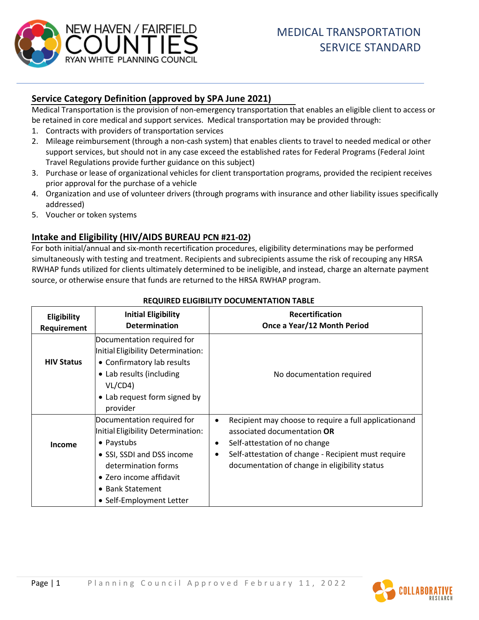

# **Service Category Definition (approved by SPA June 2021)**

Medical Transportation is the provision of non-emergency transportation that enables an eligible client to access or be retained in core medical and support services. Medical transportation may be provided through:

- 1. Contracts with providers of transportation services
- 2. Mileage reimbursement (through a non-cash system) that enables clients to travel to needed medical or other support services, but should not in any case exceed the established rates for Federal Programs (Federal Joint Travel Regulations provide further guidance on this subject)
- 3. Purchase or lease of organizational vehicles for client transportation programs, provided the recipient receives prior approval for the purchase of a vehicle
- 4. Organization and use of volunteer drivers (through programs with insurance and other liability issues specifically addressed)
- 5. Voucher or token systems

# **Intake and Eligibility (HIV/AIDS BUREAU PCN #21-02)**

For both initial/annual and six-month recertification procedures, eligibility determinations may be performed simultaneously with testing and treatment. Recipients and subrecipients assume the risk of recouping any HRSA RWHAP funds utilized for clients ultimately determined to be ineligible, and instead, charge an alternate payment source, or otherwise ensure that funds are returned to the HRSA RWHAP program.

| Eligibility<br>Requirement | <b>Initial Eligibility</b><br><b>Determination</b>                                                                                                                                                             | Recertification<br>Once a Year/12 Month Period                                                                                                                                                                                                                       |
|----------------------------|----------------------------------------------------------------------------------------------------------------------------------------------------------------------------------------------------------------|----------------------------------------------------------------------------------------------------------------------------------------------------------------------------------------------------------------------------------------------------------------------|
| <b>HIV Status</b>          | Documentation required for<br>Initial Eligibility Determination:<br>• Confirmatory lab results<br>• Lab results (including<br>VL/CD4)<br>• Lab request form signed by<br>provider                              | No documentation required                                                                                                                                                                                                                                            |
| Income                     | Documentation required for<br>Initial Eligibility Determination:<br>• Paystubs<br>• SSI, SSDI and DSS income<br>determination forms<br>• Zero income affidavit<br>• Bank Statement<br>• Self-Employment Letter | Recipient may choose to require a full applicationand<br>$\bullet$<br>associated documentation OR<br>Self-attestation of no change<br>$\bullet$<br>Self-attestation of change - Recipient must require<br>$\bullet$<br>documentation of change in eligibility status |

#### **REQUIRED ELIGIBILITY DOCUMENTATION TABLE**

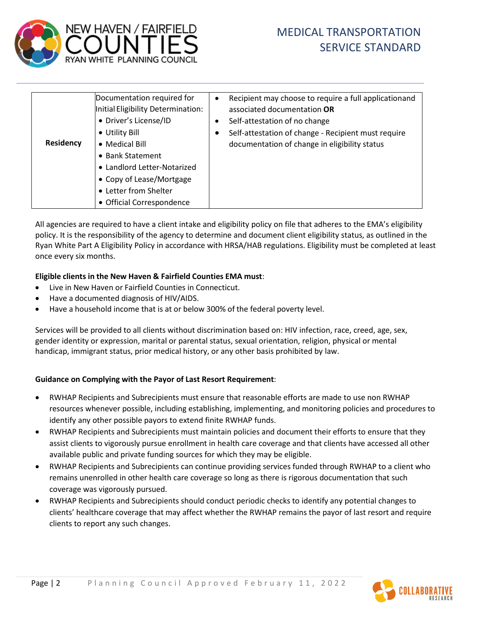

| <b>Residency</b> | Documentation required for<br>Initial Eligibility Determination:<br>• Driver's License/ID<br>• Utility Bill<br>• Medical Bill<br>• Bank Statement<br>• Landlord Letter-Notarized<br>• Copy of Lease/Mortgage<br>• Letter from Shelter<br>• Official Correspondence | $\bullet$ | Recipient may choose to require a full applicationand<br>associated documentation OR<br>Self-attestation of no change<br>Self-attestation of change - Recipient must require<br>documentation of change in eligibility status |
|------------------|--------------------------------------------------------------------------------------------------------------------------------------------------------------------------------------------------------------------------------------------------------------------|-----------|-------------------------------------------------------------------------------------------------------------------------------------------------------------------------------------------------------------------------------|
|------------------|--------------------------------------------------------------------------------------------------------------------------------------------------------------------------------------------------------------------------------------------------------------------|-----------|-------------------------------------------------------------------------------------------------------------------------------------------------------------------------------------------------------------------------------|

All agencies are required to have a client intake and eligibility policy on file that adheres to the EMA's eligibility policy. It is the responsibility of the agency to determine and document client eligibility status, as outlined in the Ryan White Part A Eligibility Policy in accordance with HRSA/HAB regulations. Eligibility must be completed at least once every six months.

#### **Eligible clients in the New Haven & Fairfield Counties EMA must**:

- Live in New Haven or Fairfield Counties in Connecticut.
- Have a documented diagnosis of HIV/AIDS.
- Have a household income that is at or below 300% of the federal poverty level.

Services will be provided to all clients without discrimination based on: HIV infection, race, creed, age, sex, gender identity or expression, marital or parental status, sexual orientation, religion, physical or mental handicap, immigrant status, prior medical history, or any other basis prohibited by law.

### **Guidance on Complying with the Payor of Last Resort Requirement**:

- RWHAP Recipients and Subrecipients must ensure that reasonable efforts are made to use non RWHAP resources whenever possible, including establishing, implementing, and monitoring policies and procedures to identify any other possible payors to extend finite RWHAP funds.
- RWHAP Recipients and Subrecipients must maintain policies and document their efforts to ensure that they assist clients to vigorously pursue enrollment in health care coverage and that clients have accessed all other available public and private funding sources for which they may be eligible.
- RWHAP Recipients and Subrecipients can continue providing services funded through RWHAP to a client who remains unenrolled in other health care coverage so long as there is rigorous documentation that such coverage was vigorously pursued.
- RWHAP Recipients and Subrecipients should conduct periodic checks to identify any potential changes to clients' healthcare coverage that may affect whether the RWHAP remains the payor of last resort and require clients to report any such changes.

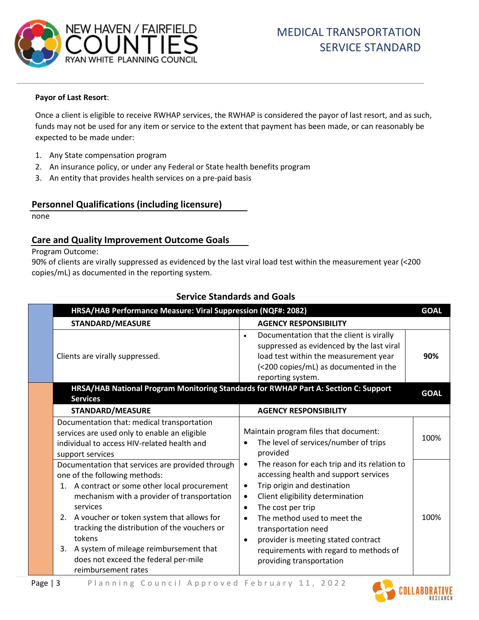

#### **Payor of Last Resort**:

Once a client is eligible to receive RWHAP services, the RWHAP is considered the payor of last resort, and as such, funds may not be used for any item or service to the extent that payment has been made, or can reasonably be expected to be made under:

- 1. Any State compensation program
- 2. An insurance policy, or under any Federal or State health benefits program
- 3. An entity that provides health services on a pre-paid basis

### **Personnel Qualifications (including licensure)**

none

### **Care and Quality Improvement Outcome Goals**

Program Outcome:

90% of clients are virally suppressed as evidenced by the last viral load test within the measurement year (<200 copies/mL) as documented in the reporting system.

| HRSA/HAB Performance Measure: Viral Suppression (NQF#: 2082)                                                                                                                                                                                                                                                                                                                                                              |                                                                                                                                                                                                                                                                                                                                                                                                                                | <b>GOAL</b> |
|---------------------------------------------------------------------------------------------------------------------------------------------------------------------------------------------------------------------------------------------------------------------------------------------------------------------------------------------------------------------------------------------------------------------------|--------------------------------------------------------------------------------------------------------------------------------------------------------------------------------------------------------------------------------------------------------------------------------------------------------------------------------------------------------------------------------------------------------------------------------|-------------|
| <b>STANDARD/MEASURE</b>                                                                                                                                                                                                                                                                                                                                                                                                   | <b>AGENCY RESPONSIBILITY</b>                                                                                                                                                                                                                                                                                                                                                                                                   |             |
| Clients are virally suppressed.                                                                                                                                                                                                                                                                                                                                                                                           | Documentation that the client is virally<br>$\bullet$<br>suppressed as evidenced by the last viral<br>load test within the measurement year<br>(<200 copies/mL) as documented in the<br>reporting system.                                                                                                                                                                                                                      | 90%         |
| HRSA/HAB National Program Monitoring Standards for RWHAP Part A: Section C: Support<br><b>Services</b>                                                                                                                                                                                                                                                                                                                    |                                                                                                                                                                                                                                                                                                                                                                                                                                | <b>GOAL</b> |
| STANDARD/MEASURE                                                                                                                                                                                                                                                                                                                                                                                                          | <b>AGENCY RESPONSIBILITY</b>                                                                                                                                                                                                                                                                                                                                                                                                   |             |
| Documentation that: medical transportation<br>services are used only to enable an eligible<br>individual to access HIV-related health and<br>support services                                                                                                                                                                                                                                                             | Maintain program files that document:<br>The level of services/number of trips<br>provided                                                                                                                                                                                                                                                                                                                                     | 100%        |
| Documentation that services are provided through<br>one of the following methods:<br>1. A contract or some other local procurement<br>mechanism with a provider of transportation<br>services<br>A voucher or token system that allows for<br>2.<br>tracking the distribution of the vouchers or<br>tokens<br>A system of mileage reimbursement that<br>3.<br>does not exceed the federal per-mile<br>reimbursement rates | The reason for each trip and its relation to<br>$\bullet$<br>accessing health and support services<br>Trip origin and destination<br>$\bullet$<br>Client eligibility determination<br>$\bullet$<br>The cost per trip<br>$\bullet$<br>The method used to meet the<br>$\bullet$<br>transportation need<br>provider is meeting stated contract<br>$\bullet$<br>requirements with regard to methods of<br>providing transportation | 100%        |

# **Service Standards and Goals**

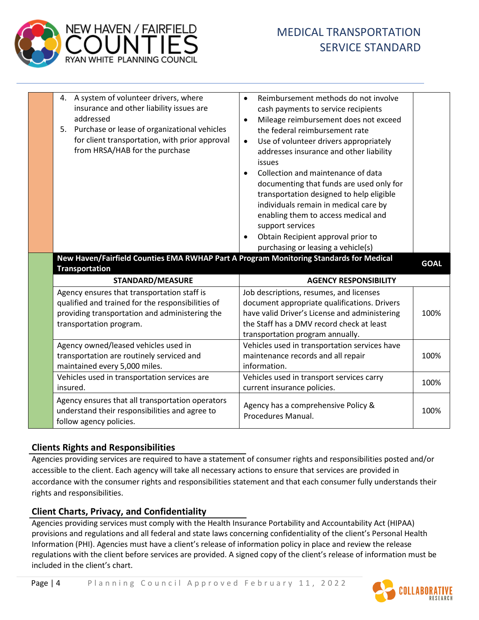

| 4. A system of volunteer drivers, where                                                                                                                                                         |                                                                                                                                                                                                                                                                                                                                                                                                                                                                                                                                                                                                                                      |             |
|-------------------------------------------------------------------------------------------------------------------------------------------------------------------------------------------------|--------------------------------------------------------------------------------------------------------------------------------------------------------------------------------------------------------------------------------------------------------------------------------------------------------------------------------------------------------------------------------------------------------------------------------------------------------------------------------------------------------------------------------------------------------------------------------------------------------------------------------------|-------------|
| insurance and other liability issues are<br>addressed<br>Purchase or lease of organizational vehicles<br>5.<br>for client transportation, with prior approval<br>from HRSA/HAB for the purchase | Reimbursement methods do not involve<br>$\bullet$<br>cash payments to service recipients<br>Mileage reimbursement does not exceed<br>$\bullet$<br>the federal reimbursement rate<br>Use of volunteer drivers appropriately<br>$\bullet$<br>addresses insurance and other liability<br>issues<br>Collection and maintenance of data<br>$\bullet$<br>documenting that funds are used only for<br>transportation designed to help eligible<br>individuals remain in medical care by<br>enabling them to access medical and<br>support services<br>Obtain Recipient approval prior to<br>$\bullet$<br>purchasing or leasing a vehicle(s) |             |
| New Haven/Fairfield Counties EMA RWHAP Part A Program Monitoring Standards for Medical                                                                                                          |                                                                                                                                                                                                                                                                                                                                                                                                                                                                                                                                                                                                                                      | <b>GOAL</b> |
|                                                                                                                                                                                                 |                                                                                                                                                                                                                                                                                                                                                                                                                                                                                                                                                                                                                                      |             |
| <b>Transportation</b><br><b>STANDARD/MEASURE</b>                                                                                                                                                | <b>AGENCY RESPONSIBILITY</b>                                                                                                                                                                                                                                                                                                                                                                                                                                                                                                                                                                                                         |             |
| Agency ensures that transportation staff is<br>qualified and trained for the responsibilities of<br>providing transportation and administering the<br>transportation program.                   | Job descriptions, resumes, and licenses<br>document appropriate qualifications. Drivers<br>have valid Driver's License and administering<br>the Staff has a DMV record check at least<br>transportation program annually.                                                                                                                                                                                                                                                                                                                                                                                                            | 100%        |
| Agency owned/leased vehicles used in<br>transportation are routinely serviced and<br>maintained every 5,000 miles.                                                                              | Vehicles used in transportation services have<br>maintenance records and all repair<br>information.                                                                                                                                                                                                                                                                                                                                                                                                                                                                                                                                  | 100%        |
| Vehicles used in transportation services are<br>insured.                                                                                                                                        | Vehicles used in transport services carry<br>current insurance policies.                                                                                                                                                                                                                                                                                                                                                                                                                                                                                                                                                             | 100%        |

# **Clients Rights and Responsibilities**

Agencies providing services are required to have a statement of consumer rights and responsibilities posted and/or accessible to the client. Each agency will take all necessary actions to ensure that services are provided in accordance with the consumer rights and responsibilities statement and that each consumer fully understands their rights and responsibilities.

## **Client Charts, Privacy, and Confidentiality**

Agencies providing services must comply with the Health Insurance Portability and Accountability Act (HIPAA) provisions and regulations and all federal and state laws concerning confidentiality of the client's Personal Health Information (PHI). Agencies must have a client's release of information policy in place and review the release regulations with the client before services are provided. A signed copy of the client's release of information must be included in the client's chart.